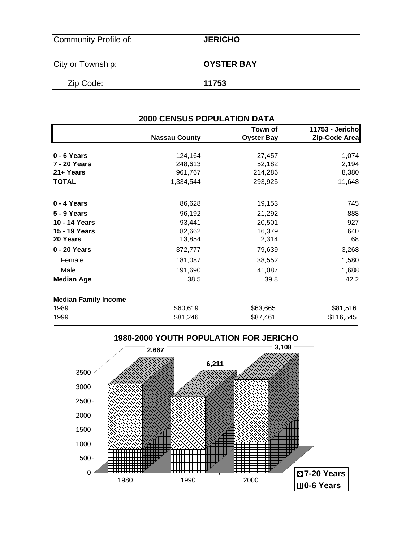| Community Profile of: | <b>JERICHO</b>    |
|-----------------------|-------------------|
| City or Township:     | <b>OYSTER BAY</b> |
| Zip Code:             | 11753             |

|                             | <b>2000 CENSUS POPULATION DATA</b> |                              |                                  |  |  |  |  |  |
|-----------------------------|------------------------------------|------------------------------|----------------------------------|--|--|--|--|--|
|                             | <b>Nassau County</b>               | Town of<br><b>Oyster Bay</b> | 11753 - Jericho<br>Zip-Code Area |  |  |  |  |  |
| 0 - 6 Years                 | 124,164                            | 27,457                       | 1,074                            |  |  |  |  |  |
| 7 - 20 Years                | 248,613                            | 52,182                       | 2,194                            |  |  |  |  |  |
| 21+ Years                   | 961,767                            | 214,286                      | 8,380                            |  |  |  |  |  |
| <b>TOTAL</b>                | 1,334,544                          | 293,925                      | 11,648                           |  |  |  |  |  |
| 0 - 4 Years                 | 86,628                             | 19,153                       | 745                              |  |  |  |  |  |
| <b>5 - 9 Years</b>          | 96,192                             | 21,292                       | 888                              |  |  |  |  |  |
| 10 - 14 Years               | 93,441                             | 20,501                       | 927                              |  |  |  |  |  |
| 15 - 19 Years               | 82,662                             | 16,379                       | 640                              |  |  |  |  |  |
| 20 Years                    | 13,854                             | 2,314                        | 68                               |  |  |  |  |  |
| 0 - 20 Years                | 372,777                            | 79,639                       | 3,268                            |  |  |  |  |  |
| Female                      | 181,087                            | 38,552                       | 1,580                            |  |  |  |  |  |
| Male                        | 191,690                            | 41,087                       | 1,688                            |  |  |  |  |  |
| <b>Median Age</b>           | 38.5                               | 39.8                         | 42.2                             |  |  |  |  |  |
| <b>Median Family Income</b> |                                    |                              |                                  |  |  |  |  |  |
| 1989                        | \$60,619                           | \$63,665                     | \$81,516                         |  |  |  |  |  |

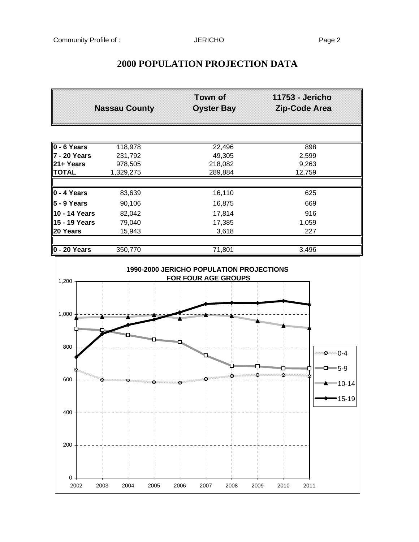# **Town of 11753 - Jericho Nassau County Oyster Bay Zip-Code Area 0 - 6 Years** 118,978 22,496 22,496 **7 - 20 Years** 231,792 49,305 2,599 **21+ Years** 978,505 218,082 9,263 **TOTAL** 1,329,275 289,884 12,759 **0 - 4 Years** 83,639 16,110 625 **5 - 9 Years** 90,106 **16,875** 669 **10 - 14 Years** 82,042 17,814 916 **15 - 19 Years** 79,040 17,385 1,059 **20 Years** 15,943 3,618 227 **0 - 20 Years** 350,770 71,801 3,496 **1990-2000 JERICHO POPULATION PROJECTIONS FOR FOUR AGE GROUPS** 1,200 1,000 800 **X** 0-4  $-5-9$ Ķ, Ķ, 600 Ń. 10-14 x 15-19400 200  $0 -$ 2002 2003 2004 2005 2006 2007 2008 2009 2010 2011

### **2000 POPULATION PROJECTION DATA**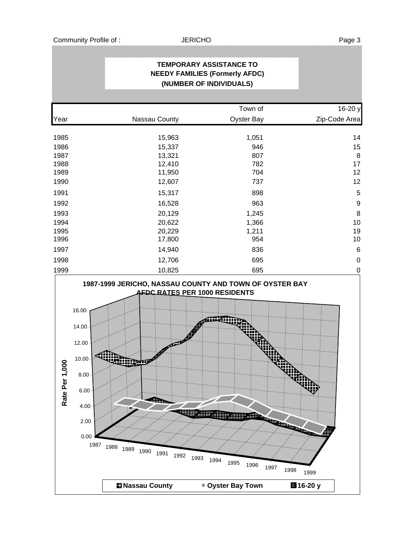| TEMPORARY ASSISTANCE TO<br><b>NEEDY FAMILIES (Formerly AFDC)</b><br>(NUMBER OF INDIVIDUALS) |               |                   |                  |  |  |  |  |
|---------------------------------------------------------------------------------------------|---------------|-------------------|------------------|--|--|--|--|
|                                                                                             |               |                   |                  |  |  |  |  |
|                                                                                             |               | Town of           | 16-20 y          |  |  |  |  |
| Year                                                                                        | Nassau County | <b>Oyster Bay</b> | Zip-Code Area    |  |  |  |  |
| 1985                                                                                        | 15,963        | 1,051             | 14               |  |  |  |  |
| 1986                                                                                        | 15,337        | 946               | 15               |  |  |  |  |
| 1987                                                                                        | 13,321        | 807               | 8                |  |  |  |  |
| 1988                                                                                        | 12,410        | 782               | 17               |  |  |  |  |
| 1989                                                                                        | 11,950        | 704               | 12               |  |  |  |  |
| 1990                                                                                        | 12,607        | 737               | 12               |  |  |  |  |
| 1991                                                                                        | 15,317        | 898               | 5                |  |  |  |  |
| 1992                                                                                        | 16,528        | 963               | $\boldsymbol{9}$ |  |  |  |  |
| 1993                                                                                        | 20,129        | 1,245             | 8                |  |  |  |  |
| 1994                                                                                        | 20,622        | 1,366             | 10               |  |  |  |  |
| 1995                                                                                        | 20,229        | 1,211             | 19               |  |  |  |  |
| 1996                                                                                        | 17,800        | 954               | 10               |  |  |  |  |
| 1997                                                                                        | 14,940        | 836               | $6\phantom{1}6$  |  |  |  |  |
| 1998                                                                                        | 12,706        | 695               | $\boldsymbol{0}$ |  |  |  |  |
| 1999                                                                                        | 10,825        | 695               | $\boldsymbol{0}$ |  |  |  |  |

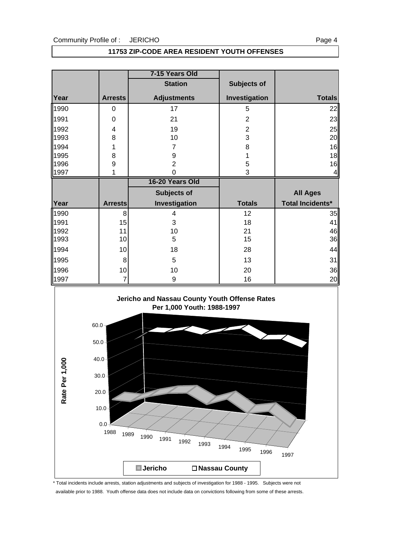#### Community Profile of : JERICHO

|--|--|

#### **11753 ZIP-CODE AREA RESIDENT YOUTH OFFENSES**

|      |                | 7-15 Years Old     |                    |                         |
|------|----------------|--------------------|--------------------|-------------------------|
|      |                | <b>Station</b>     | <b>Subjects of</b> |                         |
| Year | <b>Arrests</b> | <b>Adjustments</b> | Investigation      | <b>Totals</b>           |
| 1990 | 0              | 17                 | 5                  | 22                      |
| 1991 | 0              | 21                 | $\overline{2}$     | 23                      |
| 1992 | 4              | 19                 | $\overline{2}$     | 25                      |
| 1993 | 8              | 10                 | 3                  | 20                      |
| 1994 | 1              | 7                  | 8                  | 16                      |
| 1995 | 8              | 9                  |                    | 18                      |
| 1996 | 9              | $\overline{2}$     | 5                  | 16                      |
| 1997 | 1              | 0<br>3             |                    | 4                       |
|      |                |                    |                    |                         |
|      |                | 16-20 Years Old    |                    |                         |
|      |                | Subjects of        |                    | <b>All Ages</b>         |
| Year | <b>Arrests</b> | Investigation      | <b>Totals</b>      | <b>Total Incidents*</b> |
| 1990 | 8              | 4                  | 12                 | 35                      |
| 1991 | 15             | 3                  | 18                 | 41                      |
| 1992 | 11             | 10                 | 21                 | 46                      |
| 1993 | 10             | 5                  | 15                 | 36                      |
| 1994 | 10             | 18                 | 28                 | 44                      |
| 1995 | 8              | 5                  | 13                 |                         |
| 1996 | 10             | 10                 | 20                 | 31<br>36                |



\* Total incidents include arrests, station adjustments and subjects of investigation for 1988 - 1995. Subjects were not available prior to 1988. Youth offense data does not include data on convictions following from some of these arrests.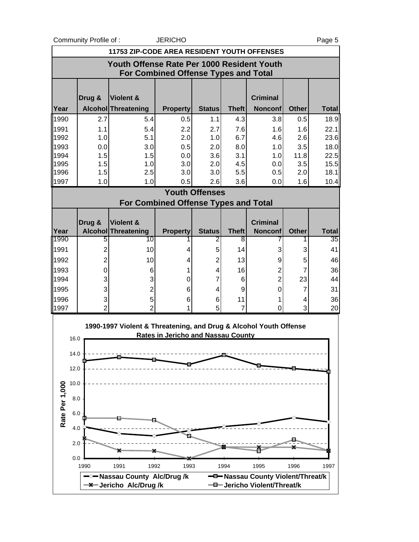Community Profile of : <br>
UERICHO Page 5

|                       | 11753 ZIP-CODE AREA RESIDENT YOUTH OFFENSES                                               |                                                                   |                                           |                       |                   |                                   |                |                    |  |  |
|-----------------------|-------------------------------------------------------------------------------------------|-------------------------------------------------------------------|-------------------------------------------|-----------------------|-------------------|-----------------------------------|----------------|--------------------|--|--|
|                       | Youth Offense Rate Per 1000 Resident Youth<br><b>For Combined Offense Types and Total</b> |                                                                   |                                           |                       |                   |                                   |                |                    |  |  |
|                       | Drug &                                                                                    | Violent &                                                         |                                           |                       |                   | <b>Criminal</b>                   |                |                    |  |  |
| Year                  |                                                                                           | Alcohol Threatening                                               | <b>Property</b>                           | <b>Status</b>         | <b>Theft</b>      | <b>Nonconf</b>                    | <b>Other</b>   | <b>Total</b>       |  |  |
| 1990                  | 2.7                                                                                       | 5.4                                                               | 0.5                                       | 1.1                   | 4.3               | 3.8                               | 0.5            | 18.9               |  |  |
| 1991                  | 1.1                                                                                       | 5.4                                                               | 2.2                                       | 2.7                   | 7.6               | 1.6                               | 1.6            | 22.1               |  |  |
| 1992                  | 1.0                                                                                       | 5.1                                                               | 2.0                                       | 1.0                   | 6.7               | 4.6                               | 2.6            | 23.6               |  |  |
| 1993                  | 0.0                                                                                       | 3.0                                                               | 0.5                                       | 2.0                   | 8.0               | 1.0                               | 3.5            | 18.0               |  |  |
| 1994<br>1995          | 1.5<br>1.5                                                                                | 1.5<br>1.0                                                        | 0.0<br>3.0                                | 3.6<br>2.0            | 3.1<br>4.5        | 1.0<br>0.0                        | 11.8<br>3.5    | 22.5<br>15.5       |  |  |
| 1996                  | 1.5                                                                                       | 2.5                                                               | 3.0                                       | 3.0                   | 5.5               | 0.5                               | 2.0            | 18.1               |  |  |
| 1997                  | 1.0                                                                                       | 1.0                                                               | 0.5                                       | 2.6                   | 3.6               | 0.0                               | 1.6            | 10.4               |  |  |
|                       |                                                                                           |                                                                   |                                           | <b>Youth Offenses</b> |                   |                                   |                |                    |  |  |
|                       |                                                                                           | <b>For Combined Offense Types and Total</b>                       |                                           |                       |                   |                                   |                |                    |  |  |
|                       |                                                                                           |                                                                   |                                           |                       |                   |                                   |                |                    |  |  |
|                       | Drug &                                                                                    | Violent &                                                         |                                           |                       |                   | <b>Criminal</b>                   |                |                    |  |  |
| Year<br>1990          | 5                                                                                         | <b>Alcohol Threatening</b><br>10                                  | <b>Property</b>                           | <b>Status</b><br>2    | <b>Theft</b><br>8 | <b>Nonconf</b>                    | <b>Other</b>   | <b>Total</b><br>35 |  |  |
| 1991                  | $\overline{c}$                                                                            | 10                                                                | 4                                         | 5                     | 14                | 3                                 | 3              | 41                 |  |  |
| 1992                  | $\overline{2}$                                                                            | 10                                                                |                                           | $\overline{c}$        | 13                |                                   |                | 46                 |  |  |
| 1993                  | 0                                                                                         |                                                                   | 4<br>1                                    | 4                     | 16                | 9<br>$\overline{\mathbf{c}}$      | 5<br>7         | 36                 |  |  |
| 1994                  | 3                                                                                         | 6<br>3                                                            | 0                                         | 7                     | 6                 | $\overline{2}$                    | 23             | 44                 |  |  |
| 1995                  | 3                                                                                         | $\overline{2}$                                                    | 6                                         | 4                     | 9                 | 0                                 | $\overline{7}$ | 31                 |  |  |
| 1996                  | 3                                                                                         | 5                                                                 | 6                                         | 6                     | 11                | 1                                 | 4              | 36                 |  |  |
| 1997                  | $\overline{2}$                                                                            | $\overline{2}$                                                    | 1                                         | 5                     | 7                 | 0                                 | 3              | 20                 |  |  |
| 16.0<br>14.0          |                                                                                           | 1990-1997 Violent & Threatening, and Drug & Alcohol Youth Offense | <b>Rates in Jericho and Nassau County</b> |                       |                   |                                   |                |                    |  |  |
|                       |                                                                                           |                                                                   |                                           |                       |                   |                                   |                |                    |  |  |
| 12.0                  |                                                                                           |                                                                   |                                           |                       |                   |                                   |                |                    |  |  |
| 10.0                  |                                                                                           |                                                                   |                                           |                       |                   |                                   |                |                    |  |  |
| Rate Per 1,000<br>8.0 |                                                                                           |                                                                   |                                           |                       |                   |                                   |                |                    |  |  |
|                       | 6.0                                                                                       |                                                                   |                                           |                       |                   |                                   |                |                    |  |  |
|                       |                                                                                           |                                                                   |                                           |                       |                   |                                   |                |                    |  |  |
|                       | 4.0                                                                                       |                                                                   |                                           |                       |                   |                                   |                |                    |  |  |
| 2.0                   |                                                                                           |                                                                   |                                           |                       |                   |                                   |                |                    |  |  |
|                       | 0.0<br>1990                                                                               | 1991<br>1992                                                      | 1993                                      |                       | 1994              | 1995                              | 1996           | 1997               |  |  |
|                       |                                                                                           | <sup>-</sup> <sup>™</sup> Nassau County Alc/Drug /k               |                                           |                       |                   | -D-Nassau County Violent/Threat/k |                |                    |  |  |
|                       |                                                                                           | -X-Jericho Alc/Drug/k                                             |                                           |                       |                   | -D-Jericho Violent/Threat/k       |                |                    |  |  |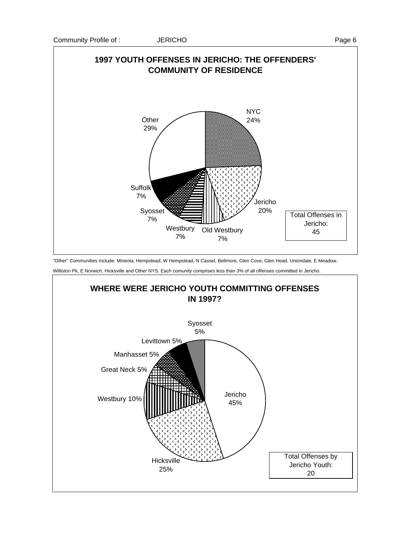

"Other" Communities Include: Mineola, Hempstead, W Hempstead, N Cassel, Bellmore, Glen Cove, Glen Head, Uniondale, E Meadow,

Williston Pk, E Norwich, Hicksville and Other NYS. Each comunity comprises less than 3% of all offenses committed in Jericho.

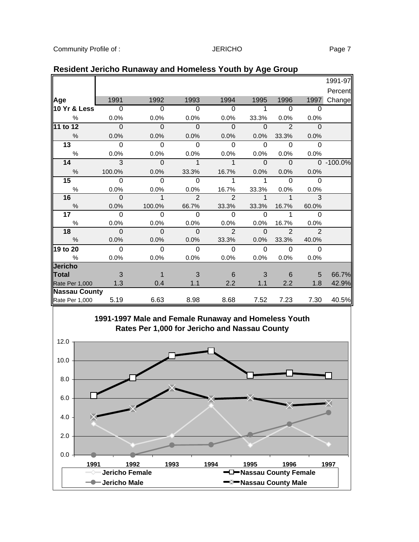|                                                                                                       |                |              |                |                |              |                |                | 1991-97       |  |
|-------------------------------------------------------------------------------------------------------|----------------|--------------|----------------|----------------|--------------|----------------|----------------|---------------|--|
|                                                                                                       |                |              |                |                |              |                |                | Percent       |  |
| Age                                                                                                   | 1991           | 1992         | 1993           | 1994           | 1995         | 1996           | 1997           | Change        |  |
| 10 Yr & Less                                                                                          | $\Omega$       | $\Omega$     | $\Omega$       | $\Omega$       | $\mathbf{1}$ | $\Omega$       | $\Omega$       |               |  |
| $\%$                                                                                                  | 0.0%           | 0.0%         | 0.0%           | 0.0%           | 33.3%        | 0.0%           | 0.0%           |               |  |
| 11 to 12                                                                                              | $\mathbf 0$    | $\mathbf{0}$ | $\mathbf 0$    | $\mathbf{0}$   | $\Omega$     | $\overline{2}$ | $\mathbf 0$    |               |  |
| %                                                                                                     | 0.0%           | 0.0%         | 0.0%           | 0.0%           | 0.0%         | 33.3%          | 0.0%           |               |  |
| 13                                                                                                    | $\Omega$       | $\Omega$     | $\Omega$       | $\Omega$       | $\Omega$     | $\Omega$       | $\Omega$       |               |  |
| $\%$                                                                                                  | 0.0%           | 0.0%         | 0.0%           | 0.0%           | $0.0\%$      | 0.0%           | 0.0%           |               |  |
| 14                                                                                                    | $\overline{3}$ | $\Omega$     | $\overline{1}$ | $\mathbf{1}$   | $\Omega$     | $\Omega$       |                | $0 - 100.0\%$ |  |
| $\frac{0}{0}$                                                                                         | 100.0%         | 0.0%         | 33.3%          | 16.7%          | 0.0%         | 0.0%           | 0.0%           |               |  |
| 15                                                                                                    | $\overline{0}$ | $\Omega$     | $\Omega$       | 1              | 1            | $\Omega$       | $\Omega$       |               |  |
| $\%$                                                                                                  | 0.0%           | 0.0%         | 0.0%           | 16.7%          | 33.3%        | 0.0%           | 0.0%           |               |  |
| 16                                                                                                    | $\Omega$       | $\mathbf{1}$ | $\mathfrak{p}$ | $\mathfrak{p}$ | 1            | $\mathbf{1}$   | 3              |               |  |
| $\%$                                                                                                  | 0.0%           | 100.0%       | 66.7%          | 33.3%          | 33.3%        | 16.7%          | 60.0%          |               |  |
| 17                                                                                                    | $\Omega$       | $\Omega$     | $\Omega$       | $\Omega$       | $\Omega$     | 1              | $\Omega$       |               |  |
| %                                                                                                     | 0.0%           | 0.0%         | 0.0%           | 0.0%           | 0.0%         | 16.7%          | 0.0%           |               |  |
| 18                                                                                                    | $\Omega$       | $\Omega$     | $\Omega$       | $\mathfrak{p}$ | $\Omega$     | $\overline{2}$ | $\mathfrak{p}$ |               |  |
| $\frac{9}{6}$                                                                                         | 0.0%           | 0.0%         | 0.0%           | 33.3%          | 0.0%         | 33.3%          | 40.0%          |               |  |
| 19 to 20                                                                                              | $\Omega$       | $\Omega$     | $\Omega$       | $\Omega$       | $\Omega$     | $\Omega$       | $\Omega$       |               |  |
| %                                                                                                     | 0.0%           | 0.0%         | 0.0%           | 0.0%           | 0.0%         | 0.0%           | 0.0%           |               |  |
| <b>Jericho</b>                                                                                        |                |              |                |                |              |                |                |               |  |
| <b>Total</b>                                                                                          | 3              | 1            | 3              | 6              | 3            | 6              | 5              | 66.7%         |  |
| Rate Per 1,000                                                                                        | 1.3            | 0.4          | 1.1            | 2.2            | 1.1          | 2.2            | 1.8            | 42.9%         |  |
| <b>Nassau County</b>                                                                                  |                |              |                |                |              |                |                |               |  |
| Rate Per 1,000                                                                                        | 5.19           | 6.63         | 8.98           | 8.68           | 7.52         | 7.23           | 7.30           | 40.5%         |  |
| 1991-1997 Male and Female Runaway and Homeless Youth<br>Rates Per 1,000 for Jericho and Nassau County |                |              |                |                |              |                |                |               |  |
| 12.0                                                                                                  |                |              |                |                |              |                |                |               |  |

## **Resident Jericho Runaway and Homeless Youth by Age Group**

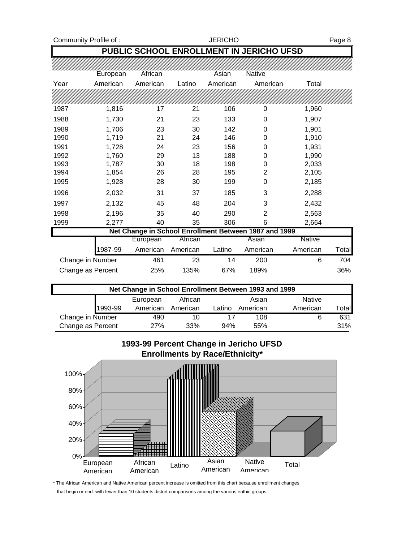Community Profile of : German Muslim School School School School School School School Page 8

### **PUBLIC SCHOOL ENROLLMENT IN JERICHO UFSD**

|      | European          | African  |          | Asian    | Native                                                |               |       |
|------|-------------------|----------|----------|----------|-------------------------------------------------------|---------------|-------|
| Year | American          | American | Latino   | American | American                                              | Total         |       |
|      |                   |          |          |          |                                                       |               |       |
| 1987 | 1,816             | 17       | 21       | 106      | 0                                                     | 1,960         |       |
| 1988 | 1,730             | 21       | 23       | 133      | 0                                                     | 1,907         |       |
| 1989 | 1,706             | 23       | 30       | 142      | 0                                                     | 1,901         |       |
| 1990 | 1,719             | 21       | 24       | 146      | 0                                                     | 1,910         |       |
| 1991 | 1,728             | 24       | 23       | 156      | 0                                                     | 1,931         |       |
| 1992 | 1,760             | 29       | 13       | 188      | 0                                                     | 1,990         |       |
| 1993 | 1,787             | 30       | 18       | 198      | 0                                                     | 2,033         |       |
| 1994 | 1,854             | 26       | 28       | 195      | 2                                                     | 2,105         |       |
| 1995 | 1,928             | 28       | 30       | 199      | 0                                                     | 2,185         |       |
| 1996 | 2,032             | 31       | 37       | 185      | 3                                                     | 2,288         |       |
| 1997 | 2,132             | 45       | 48       | 204      | 3                                                     | 2,432         |       |
| 1998 | 2,196             | 35       | 40       | 290      | 2                                                     | 2,563         |       |
| 1999 | 2,277             | 40       | 35       | 306      | 6                                                     | 2,664         |       |
|      |                   |          |          |          | Net Change in School Enrollment Between 1987 and 1999 |               |       |
|      |                   | European | African  |          | Asian                                                 | <b>Native</b> |       |
|      | 1987-99           | American | American | Latino   | American                                              | American      | Total |
|      | Change in Number  | 461      | 23       | 14       | 200                                                   | 6             | 704   |
|      | Change as Percent | 25%      | 135%     | 67%      | 189%                                                  |               | 36%   |

| Net Change in School Enrollment Between 1993 and 1999 |         |            |          |        |          |               |        |  |  |
|-------------------------------------------------------|---------|------------|----------|--------|----------|---------------|--------|--|--|
|                                                       |         | European   | African  |        | Asian    | <b>Native</b> |        |  |  |
|                                                       | 1993-99 | American   | American | Latino | American | American      | Totall |  |  |
| Change in Number                                      |         | 490        | 10       |        | 108      | 6             | 631    |  |  |
| Change as Percent                                     |         | <b>27%</b> | 33%      | 94%    | 55%      |               | 31%    |  |  |



\* The African American and Native American percent increase is omitted from this chart because enrollment changes that begin or end with fewer than 10 students distort comparisons among the various enthic groups.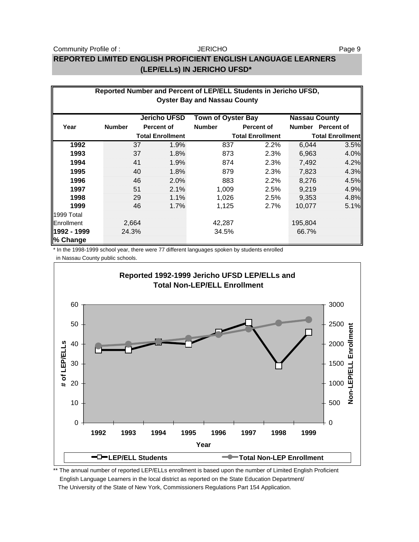#### JERICHO

# **REPORTED LIMITED ENGLISH PROFICIENT ENGLISH LANGUAGE LEARNERS (LEP/ELLs) IN JERICHO UFSD\***

| Reported Number and Percent of LEP/ELL Students in Jericho UFSD,<br><b>Oyster Bay and Nassau County</b> |                                                                          |       |                         |               |                         |         |                         |  |  |
|---------------------------------------------------------------------------------------------------------|--------------------------------------------------------------------------|-------|-------------------------|---------------|-------------------------|---------|-------------------------|--|--|
|                                                                                                         | <b>Jericho UFSD</b><br><b>Town of Oyster Bay</b><br><b>Nassau County</b> |       |                         |               |                         |         |                         |  |  |
| Year                                                                                                    | <b>Number</b>                                                            |       | <b>Percent of</b>       | <b>Number</b> | Percent of              |         | Number Percent of       |  |  |
|                                                                                                         |                                                                          |       | <b>Total Enrollment</b> |               | <b>Total Enrollment</b> |         | <b>Total Enrollment</b> |  |  |
| 1992                                                                                                    |                                                                          | 37    | 1.9%                    | 837           | 2.2%                    | 6,044   | 3.5%                    |  |  |
| 1993                                                                                                    |                                                                          | 37    | 1.8%                    | 873           | 2.3%                    | 6,963   | 4.0%                    |  |  |
| 1994                                                                                                    |                                                                          | 41    | 1.9%                    | 874           | 2.3%                    | 7,492   | 4.2%                    |  |  |
| 1995                                                                                                    |                                                                          | 40    | 1.8%                    | 879           | 2.3%                    | 7,823   | 4.3%                    |  |  |
| 1996                                                                                                    |                                                                          | 46    | 2.0%                    | 883           | 2.2%                    | 8,276   | 4.5%                    |  |  |
| 1997                                                                                                    |                                                                          | 51    | 2.1%                    | 1,009         | 2.5%                    | 9,219   | 4.9%                    |  |  |
| 1998                                                                                                    |                                                                          | 29    | 1.1%                    | 1,026         | 2.5%                    | 9,353   | 4.8%                    |  |  |
| 1999                                                                                                    |                                                                          | 46    | 1.7%                    | 1,125         | 2.7%                    | 10.077  | 5.1%                    |  |  |
| 1999 Total                                                                                              |                                                                          |       |                         |               |                         |         |                         |  |  |
| Enrollment                                                                                              |                                                                          | 2,664 |                         | 42,287        |                         | 195,804 |                         |  |  |
| 1992 - 1999<br>% Change                                                                                 |                                                                          | 24.3% |                         | 34.5%         |                         | 66.7%   |                         |  |  |

\* In the 1998-1999 school year, there were 77 different languages spoken by students enrolled

in Nassau County public schools.



\*\* The annual number of reported LEP/ELLs enrollment is based upon the number of Limited English Proficient English Language Learners in the local district as reported on the State Education Department/ The University of the State of New York, Commissioners Regulations Part 154 Application.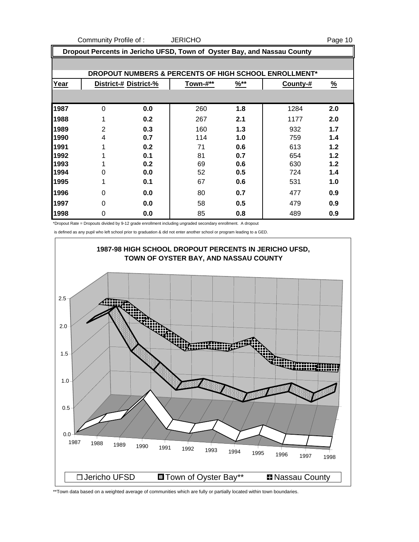Community Profile of : JERICHO **Page 10** 

| Dropout Percents in Jericho UFSD, Town of Oyster Bay, and Nassau County |                                                       |                       |          |                  |          |               |  |  |  |  |  |
|-------------------------------------------------------------------------|-------------------------------------------------------|-----------------------|----------|------------------|----------|---------------|--|--|--|--|--|
|                                                                         | DROPOUT NUMBERS & PERCENTS OF HIGH SCHOOL ENROLLMENT* |                       |          |                  |          |               |  |  |  |  |  |
| Year                                                                    |                                                       | District-# District-% | Town-#** | $\frac{96**}{5}$ | County-# | $\frac{9}{6}$ |  |  |  |  |  |
|                                                                         |                                                       |                       |          |                  |          |               |  |  |  |  |  |
| 1987                                                                    | $\Omega$                                              | 0.0                   | 260      | 1.8              | 1284     | 2.0           |  |  |  |  |  |
| 1988                                                                    | 1                                                     | 0.2                   | 267      | 2.1              | 1177     | 2.0           |  |  |  |  |  |
| 1989                                                                    | 2                                                     | 0.3                   | 160      | 1.3              | 932      | 1.7           |  |  |  |  |  |
| 1990                                                                    | 4                                                     | 0.7                   | 114      | 1.0              | 759      | 1.4           |  |  |  |  |  |
| 1991                                                                    | 1                                                     | 0.2                   | 71       | 0.6              | 613      | 1.2           |  |  |  |  |  |
| 1992                                                                    | 1                                                     | 0.1                   | 81       | 0.7              | 654      | 1.2           |  |  |  |  |  |
| 1993                                                                    | 1                                                     | 0.2                   | 69       | 0.6              | 630      | 1.2           |  |  |  |  |  |
| 1994                                                                    | 0                                                     | 0.0                   | 52       | 0.5              | 724      | 1.4           |  |  |  |  |  |
| 1995                                                                    | 1                                                     | 0.1                   | 67       | 0.6              | 531      | 1.0           |  |  |  |  |  |
| 1996                                                                    | $\Omega$                                              | 0.0                   | 80       | 0.7              | 477      | 0.9           |  |  |  |  |  |
| 1997                                                                    | 0                                                     | 0.0                   | 58       | 0.5              | 479      | 0.9           |  |  |  |  |  |
| 1998                                                                    | 0                                                     | 0.0                   | 85       | 0.8              | 489      | 0.9           |  |  |  |  |  |

\*Dropout Rate = Dropouts divided by 9-12 grade enrollment including ungraded secondary enrollment. A dropout

is defined as any pupil who left school prior to graduation & did not enter another school or program leading to a GED.



\*\*Town data based on a weighted average of communities which are fully or partially located within town boundaries.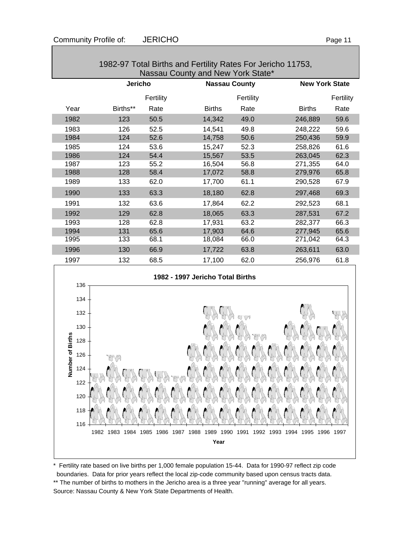| Nassau County and New York State* |                |           |                      |           |                       |           |  |  |
|-----------------------------------|----------------|-----------|----------------------|-----------|-----------------------|-----------|--|--|
|                                   | <b>Jericho</b> |           | <b>Nassau County</b> |           | <b>New York State</b> |           |  |  |
|                                   |                | Fertility |                      | Fertility |                       | Fertility |  |  |
| Year                              | Births**       | Rate      | <b>Births</b>        | Rate      | <b>Births</b>         | Rate      |  |  |
| 1982                              | 123            | 50.5      | 14,342               | 49.0      | 246,889               | 59.6      |  |  |
| 1983                              | 126            | 52.5      | 14,541               | 49.8      | 248,222               | 59.6      |  |  |
| 1984                              | 124            | 52.6      | 14,758               | 50.6      | 250,436               | 59.9      |  |  |
| 1985                              | 124            | 53.6      | 15,247               | 52.3      | 258,826               | 61.6      |  |  |
| 1986                              | 124            | 54.4      | 15,567               | 53.5      | 263,045               | 62.3      |  |  |
| 1987                              | 123            | 55.2      | 16,504               | 56.8      | 271,355               | 64.0      |  |  |
| 1988                              | 128            | 58.4      | 17,072               | 58.8      | 279,976               | 65.8      |  |  |
| 1989                              | 133            | 62.0      | 17,700               | 61.1      | 290,528               | 67.9      |  |  |
| 1990                              | 133            | 63.3      | 18,180               | 62.8      | 297,468               | 69.3      |  |  |
| 1991                              | 132            | 63.6      | 17,864               | 62.2      | 292,523               | 68.1      |  |  |
| 1992                              | 129            | 62.8      | 18,065               | 63.3      | 287,531               | 67.2      |  |  |
| 1993                              | 128            | 62.8      | 17,931               | 63.2      | 282,377               | 66.3      |  |  |
| 1994                              | 131            | 65.6      | 17,903               | 64.6      | 277,945               | 65.6      |  |  |
| 1995                              | 133            | 68.1      | 18,084               | 66.0      | 271,042               | 64.3      |  |  |
| 1996                              | 130            | 66.9      | 17,722               | 63.8      | 263,611               | 63.0      |  |  |
| 1997                              | 132            | 68.5      | 17,100               | 62.0      | 256,976               | 61.8      |  |  |

# 1982-97 Total Births and Fertility Rates For Jericho 11753,





\* Fertility rate based on live births per 1,000 female population 15-44. Data for 1990-97 reflect zip code boundaries. Data for prior years reflect the local zip-code community based upon census tracts data. \*\* The number of births to mothers in the Jericho area is a three year "running" average for all years. Source: Nassau County & New York State Departments of Health.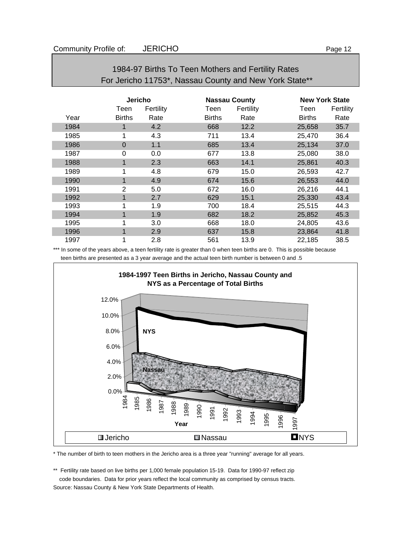| For Jericho 11753*, Nassau County and New York State** |                |           |               |                      |               |                       |  |
|--------------------------------------------------------|----------------|-----------|---------------|----------------------|---------------|-----------------------|--|
|                                                        | <b>Jericho</b> |           |               | <b>Nassau County</b> |               | <b>New York State</b> |  |
|                                                        | Teen           | Fertility | Teen          | Fertility            | Teen          | Fertility             |  |
| Year                                                   | <b>Births</b>  | Rate      | <b>Births</b> | Rate                 | <b>Births</b> | Rate                  |  |
| 1984                                                   |                | 4.2       | 668           | 12.2                 | 25,658        | 35.7                  |  |
| 1985                                                   | 1              | 4.3       | 711           | 13.4                 | 25,470        | 36.4                  |  |
| 1986                                                   | $\Omega$       | 1.1       | 685           | 13.4                 | 25,134        | 37.0                  |  |
| 1987                                                   | 0              | 0.0       | 677           | 13.8                 | 25,080        | 38.0                  |  |
| 1988                                                   |                | 2.3       | 663           | 14.1                 | 25,861        | 40.3                  |  |
| 1989                                                   | 1              | 4.8       | 679           | 15.0                 | 26,593        | 42.7                  |  |
| 1990                                                   | 1              | 4.9       | 674           | 15.6                 | 26,553        | 44.0                  |  |
| 1991                                                   | 2              | 5.0       | 672           | 16.0                 | 26,216        | 44.1                  |  |
| 1992                                                   |                | 2.7       | 629           | 15.1                 | 25,330        | 43.4                  |  |
| 1993                                                   | 4              | 1.9       | 700           | 18.4                 | 25,515        | 44.3                  |  |

# 1984-97 Births To Teen Mothers and Fertility Rates For Jericho 11753\*, Nassau County and New York State\*\*

\*\*\* In some of the years above, a teen fertility rate is greater than 0 when teen births are 0. This is possible because teen births are presented as a 3 year average and the actual teen birth number is between 0 and .5

1994 1 1.9 682 18.2 25,852 45.3 1995 1 3.0 668 18.0 24,805 43.6 1996 1 2.9 637 15.8 23,864 41.8 1997 1 2.8 561 13.9 22,185 38.5



\* The number of birth to teen mothers in the Jericho area is a three year "running" average for all years.

\*\* Fertility rate based on live births per 1,000 female population 15-19. Data for 1990-97 reflect zip code boundaries. Data for prior years reflect the local community as comprised by census tracts.